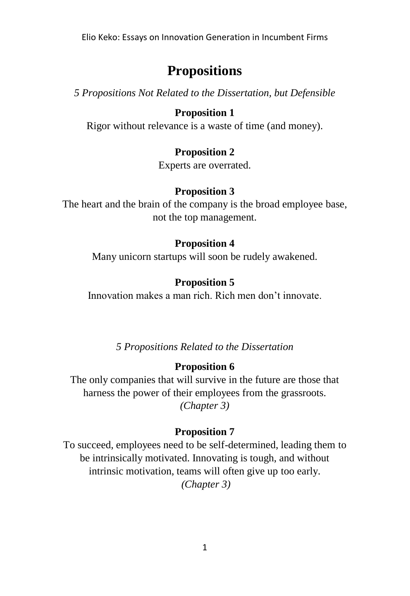Elio Keko: Essays on Innovation Generation in Incumbent Firms

# **Propositions**

*5 Propositions Not Related to the Dissertation, but Defensible*

## **Proposition 1**

Rigor without relevance is a waste of time (and money).

## **Proposition 2**

Experts are overrated.

#### **Proposition 3**

The heart and the brain of the company is the broad employee base, not the top management.

#### **Proposition 4**

Many unicorn startups will soon be rudely awakened.

#### **Proposition 5**

Innovation makes a man rich. Rich men don't innovate.

*5 Propositions Related to the Dissertation*

#### **Proposition 6**

The only companies that will survive in the future are those that harness the power of their employees from the grassroots. *(Chapter 3)*

#### **Proposition 7**

To succeed, employees need to be self-determined, leading them to be intrinsically motivated. Innovating is tough, and without intrinsic motivation, teams will often give up too early. *(Chapter 3)*